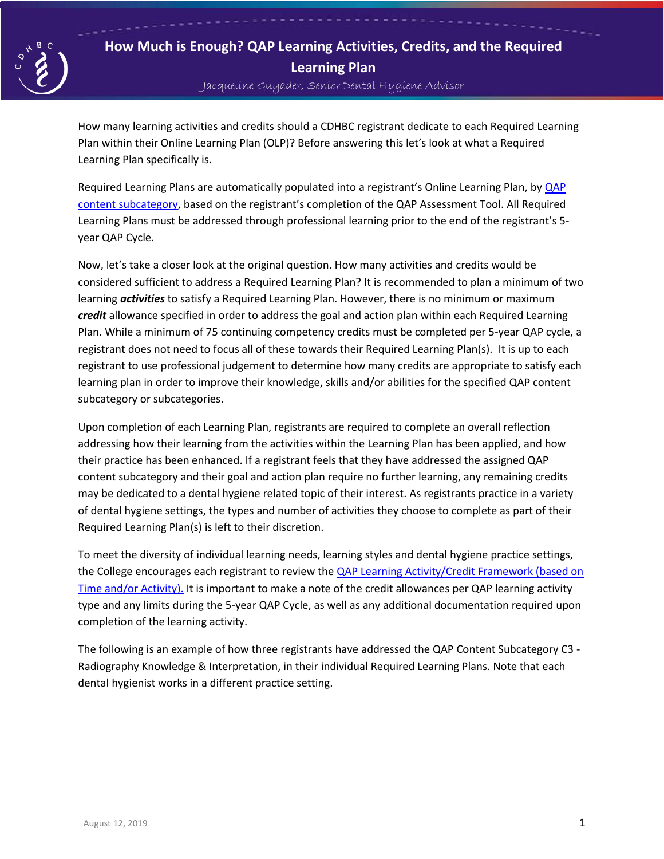

## **How Much is Enough? QAP Learning Activities, Credits, and the Required Learning Plan**

Jacqueline Guyader, Senior Dental Hygiene Advisor

How many learning activities and credits should a CDHBC registrant dedicate to each Required Learning Plan within their Online Learning Plan (OLP)? Before answering this let's look at what a Required Learning Plan specifically is.

Required Learning Plans are automatically populated into a registrant's Online Learning Plan, by [QAP](http://cdhbc.com/Documents/QAP-Content-Categories-Expanded-Definitions.aspx)  [content subcategory,](http://cdhbc.com/Documents/QAP-Content-Categories-Expanded-Definitions.aspx) based on the registrant's completion of the QAP Assessment Tool. All Required Learning Plans must be addressed through professional learning prior to the end of the registrant's 5 year QAP Cycle.

Now, let's take a closer look at the original question. How many activities and credits would be considered sufficient to address a Required Learning Plan? It is recommended to plan a minimum of two learning *activities* to satisfy a Required Learning Plan. However, there is no minimum or maximum *credit* allowance specified in order to address the goal and action plan within each Required Learning Plan. While a minimum of 75 continuing competency credits must be completed per 5-year QAP cycle, a registrant does not need to focus all of these towards their Required Learning Plan(s). It is up to each registrant to use professional judgement to determine how many credits are appropriate to satisfy each learning plan in order to improve their knowledge, skills and/or abilities for the specified QAP content subcategory or subcategories.

Upon completion of each Learning Plan, registrants are required to complete an overall reflection addressing how their learning from the activities within the Learning Plan has been applied, and how their practice has been enhanced. If a registrant feels that they have addressed the assigned QAP content subcategory and their goal and action plan require no further learning, any remaining credits may be dedicated to a dental hygiene related topic of their interest. As registrants practice in a variety of dental hygiene settings, the types and number of activities they choose to complete as part of their Required Learning Plan(s) is left to their discretion.

To meet the diversity of individual learning needs, learning styles and dental hygiene practice settings, the College encourages each registrant to review th[e QAP Learning Activity/Credit Framework \(based on](http://www.cdhbc.com/Documents/CC-Credit-Framework-January-2019-New.aspx)  [Time and/or Activity\).](http://www.cdhbc.com/Documents/CC-Credit-Framework-January-2019-New.aspx) It is important to make a note of the credit allowances per QAP learning activity type and any limits during the 5-year QAP Cycle, as well as any additional documentation required upon completion of the learning activity.

The following is an example of how three registrants have addressed the QAP Content Subcategory C3 - Radiography Knowledge & Interpretation, in their individual Required Learning Plans. Note that each dental hygienist works in a different practice setting.